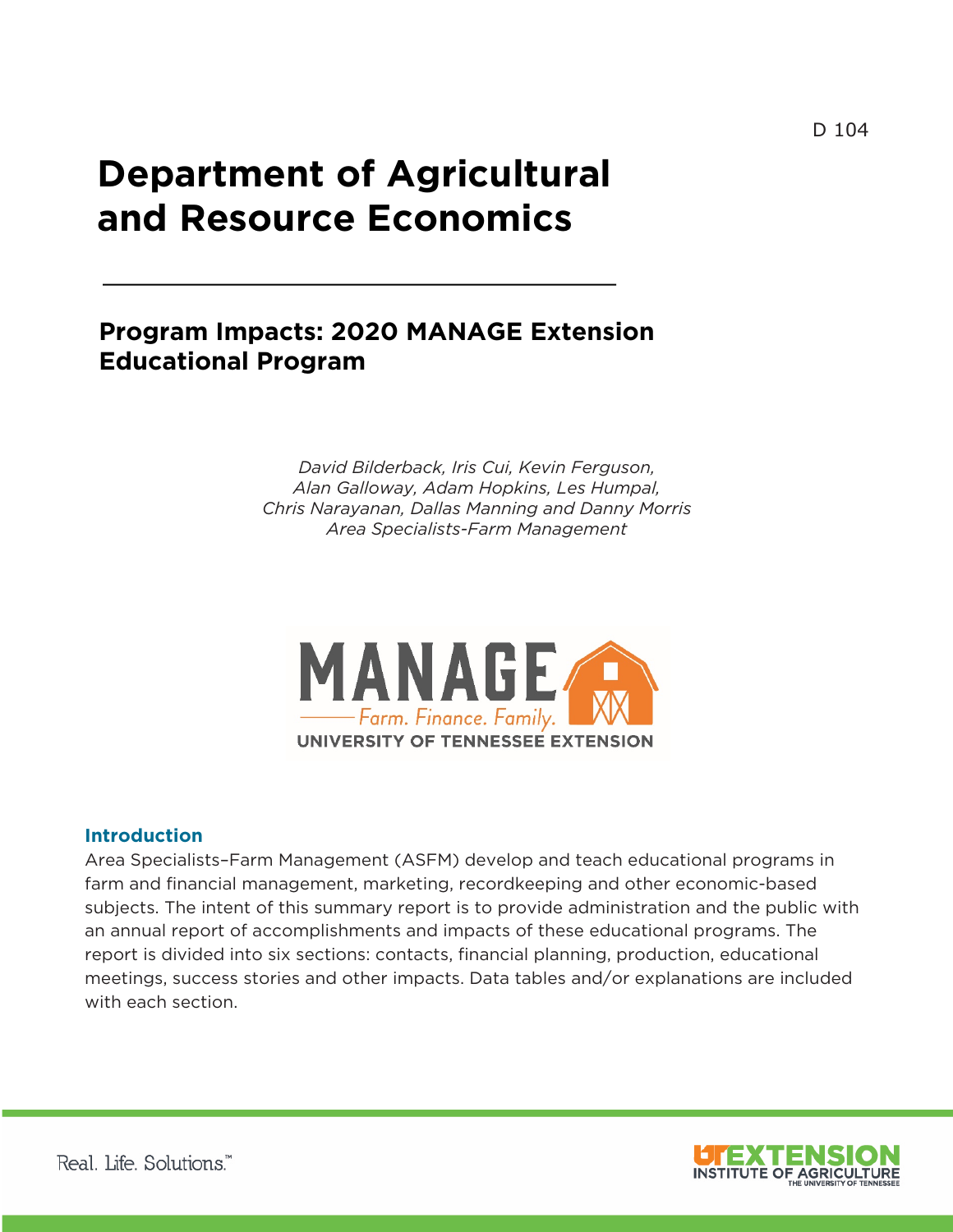# **and Resource Economics Department of Agricultural**

## **Program Impacts: 2020 MANAGE Extension Educational Program**

*David Bilderback, Iris Cui, Kevin Ferguson, Alan Galloway, Adam Hopkins, Les Humpal, Chris Narayanan, Dallas Manning and Danny Morris Area Specialists-Farm Management*



#### **Introduction**

Area Specialists–Farm Management (ASFM) develop and teach educational programs in farm and financial management, marketing, recordkeeping and other economic-based subjects. The intent of this summary report is to provide administration and the public with an annual report of accomplishments and impacts of these educational programs. The report is divided into six sections: contacts, financial planning, production, educational meetings, success stories and other impacts. Data tables and/or explanations are included with each section.

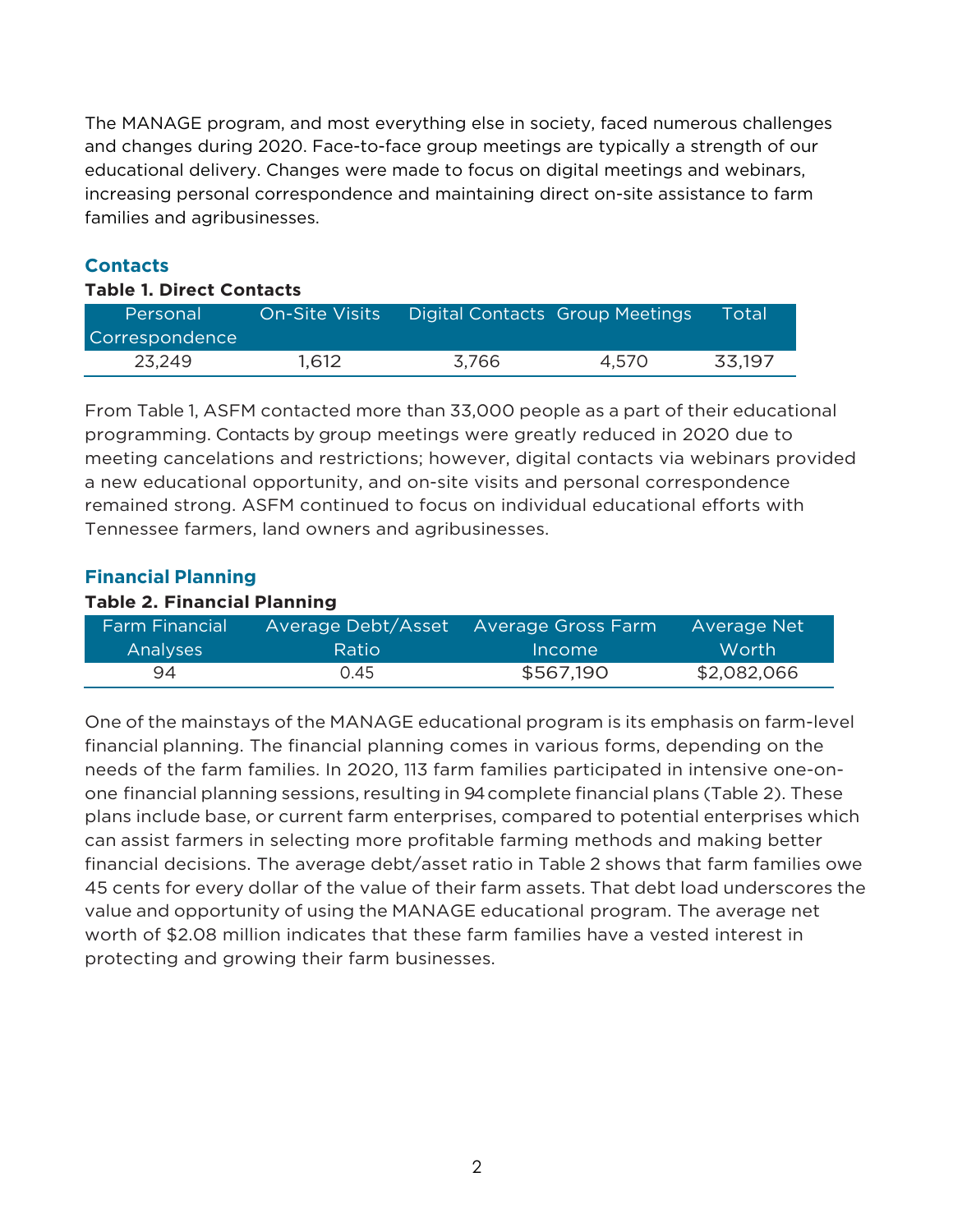The MANAGE program, and most everything else in society, faced numerous challenges and changes during 2020. Face-to-face group meetings are typically a strength of our educational delivery. Changes were made to focus on digital meetings and webinars, increasing personal correspondence and maintaining direct on-site assistance to farm families and agribusinesses.

#### **Contacts**

#### **Table 1. Direct Contacts**

| Personal              | <b>On-Site Visits</b> | Digital Contacts Group Meetings |       | Total  |
|-----------------------|-----------------------|---------------------------------|-------|--------|
| <b>Correspondence</b> |                       |                                 |       |        |
| 23,249                | 1,612                 | 3.766                           | 4.570 | 33,197 |

From Table 1, ASFM contacted more than 33,000 people as a part of their educational programming. Contacts by group meetings were greatly reduced in 2020 due to meeting cancelations and restrictions; however, digital contacts via webinars provided a new educational opportunity, and on-site visits and personal correspondence remained strong. ASFM continued to focus on individual educational efforts with Tennessee farmers, land owners and agribusinesses.

#### **Financial Planning**

#### **Table 2. Financial Planning**

| <b>Farm Financial</b> | Average Debt/Asset | Average Gross Farm | Average Net  |
|-----------------------|--------------------|--------------------|--------------|
| Analyses              | <b>Ratio</b>       | Income             | <b>Worth</b> |
| 94                    | 0.45               | \$567,190          | \$2,082,066  |

One of the mainstays of the MANAGE educational program is its emphasis on farm-level financial planning. The financial planning comes in various forms, depending on the needs of the farm families. In 2020, 113 farm families participated in intensive one-onone financial planning sessions, resulting in 94 complete financial plans (Table 2). These plans include base, or current farm enterprises, compared to potential enterprises which can assist farmers in selecting more profitable farming methods and making better financial decisions. The average debt/asset ratio in Table 2 shows that farm families owe 45 cents for every dollar of the value of their farm assets. That debt load underscores the value and opportunity of using the MANAGE educational program. The average net worth of \$2.08 million indicates that these farm families have a vested interest in protecting and growing their farm businesses.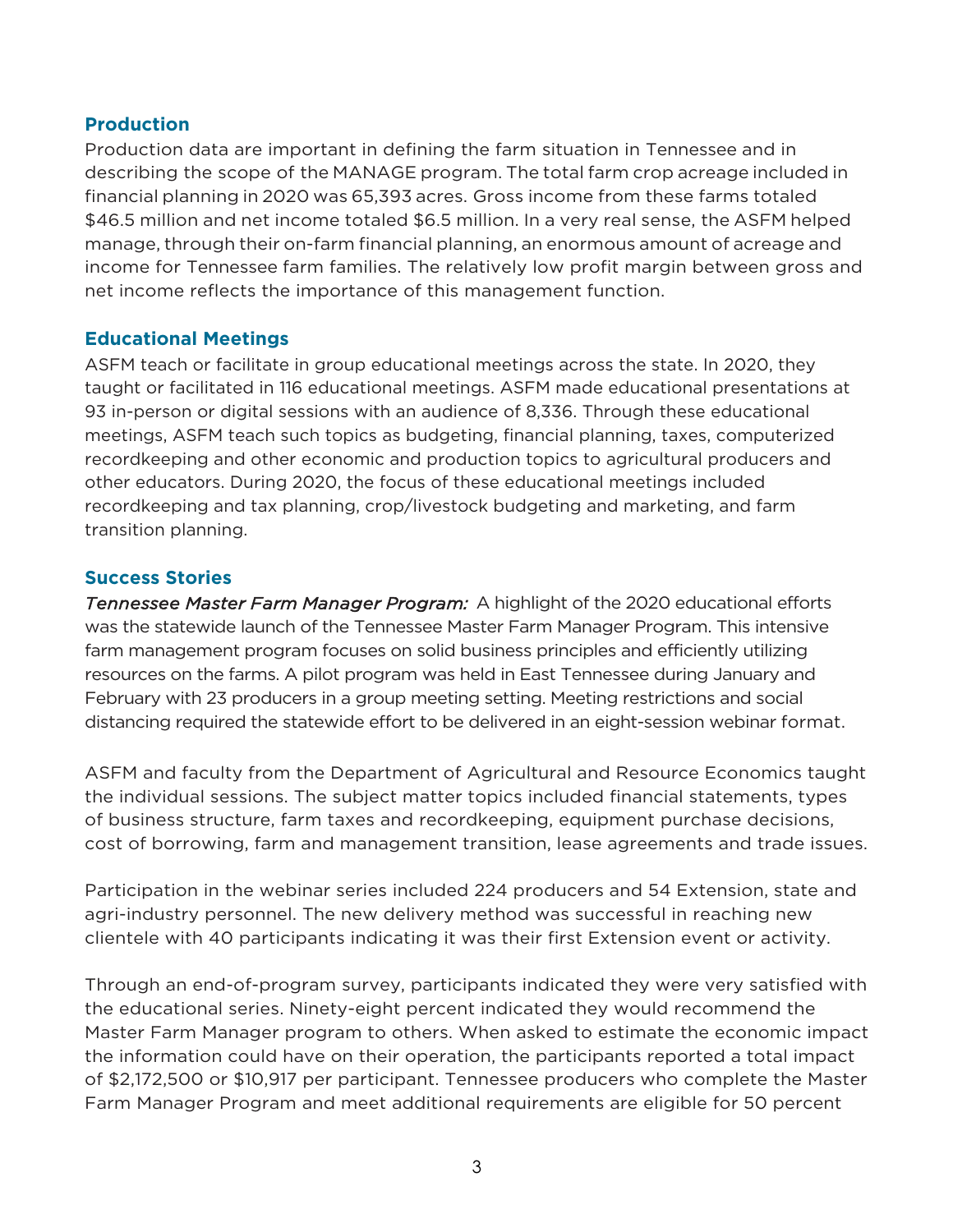#### **Production**

Production data are important in defining the farm situation in Tennessee and in describing the scope of the MANAGE program. The total farm crop acreage included in financial planning in 2020 was 65,393 acres. Gross income from these farms totaled \$46.5 million and net income totaled \$6.5 million. In a very real sense, the ASFM helped manage, through their on-farm financial planning, an enormous amount of acreage and income for Tennessee farm families. The relatively low profit margin between gross and net income reflects the importance of this management function.

#### **Educational Meetings**

ASFM teach or facilitate in group educational meetings across the state. In 2020, they taught or facilitated in 116 educational meetings. ASFM made educational presentations at 93 in-person or digital sessions with an audience of 8,336. Through these educational meetings, ASFM teach such topics as budgeting, financial planning, taxes, computerized recordkeeping and other economic and production topics to agricultural producers and other educators. During 2020, the focus of these educational meetings included recordkeeping and tax planning, crop/livestock budgeting and marketing, and farm transition planning.

#### **Success Stories**

*Tennessee Master Farm Manager Program:* A highlight of the 2020 educational efforts was the statewide launch of the Tennessee Master Farm Manager Program. This intensive farm management program focuses on solid business principles and efficiently utilizing resources on the farms. A pilot program was held in East Tennessee during January and February with 23 producers in a group meeting setting. Meeting restrictions and social distancing required the statewide effort to be delivered in an eight-session webinar format.

ASFM and faculty from the Department of Agricultural and Resource Economics taught the individual sessions. The subject matter topics included financial statements, types of business structure, farm taxes and recordkeeping, equipment purchase decisions, cost of borrowing, farm and management transition, lease agreements and trade issues.

Participation in the webinar series included 224 producers and 54 Extension, state and agri-industry personnel. The new delivery method was successful in reaching new clientele with 40 participants indicating it was their first Extension event or activity.

Through an end-of-program survey, participants indicated they were very satisfied with the educational series. Ninety-eight percent indicated they would recommend the Master Farm Manager program to others. When asked to estimate the economic impact the information could have on their operation, the participants reported a total impact of \$2,172,500 or \$10,917 per participant. Tennessee producers who complete the Master Farm Manager Program and meet additional requirements are eligible for 50 percent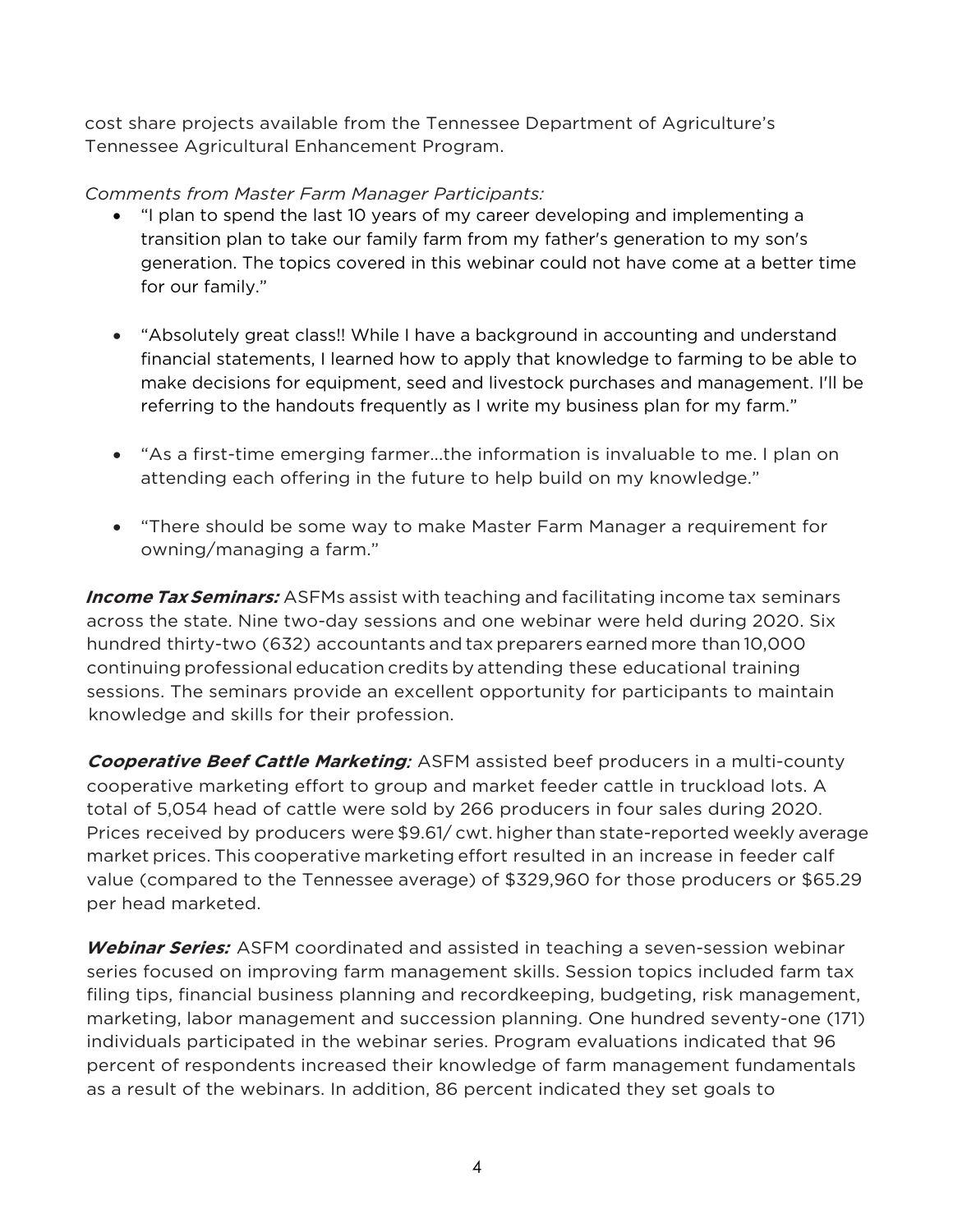cost share projects available from the Tennessee Department of Agriculture's Tennessee Agricultural Enhancement Program.

#### *Comments from Master Farm Manager Participants:*

- "I plan to spend the last 10 years of my career developing and implementing a transition plan to take our family farm from my father's generation to my son's generation. The topics covered in this webinar could not have come at a better time for our family."
- "Absolutely great class!! While I have a background in accounting and understand financial statements, I learned how to apply that knowledge to farming to be able to make decisions for equipment, seed and livestock purchases and management. I'll be referring to the handouts frequently as I write my business plan for my farm."
- "As a first-time emerging farmer...the information is invaluable to me. I plan on attending each offering in the future to help build on my knowledge."
- "There should be some way to make Master Farm Manager a requirement for owning/managing a farm."

**Income Tax Seminars:** ASFMs assist with teaching and facilitating income tax seminars across the state. Nine two-day sessions and one webinar were held during 2020. Six hundred thirty-two (632) accountants and tax preparers earned more than 10,000 continuing professional education credits by attending these educational training sessions. The seminars provide an excellent opportunity for participants to maintain knowledge and skills for their profession.

**Cooperative Beef Cattle Marketing***:* ASFM assisted beef producers in a multi-county cooperative marketing effort to group and market feeder cattle in truckload lots. A total of 5,054 head of cattle were sold by 266 producers in four sales during 2020. Prices received by producers were \$9.61/ cwt. higher than state-reported weekly average market prices. This cooperative marketing effort resulted in an increase in feeder calf value (compared to the Tennessee average) of \$329,960 for those producers or \$65.29 per head marketed.

**Webinar Series:** ASFM coordinated and assisted in teaching a seven-session webinar series focused on improving farm management skills. Session topics included farm tax filing tips, financial business planning and recordkeeping, budgeting, risk management, marketing, labor management and succession planning. One hundred seventy-one (171) individuals participated in the webinar series. Program evaluations indicated that 96 percent of respondents increased their knowledge of farm management fundamentals as a result of the webinars. In addition, 86 percent indicated they set goals to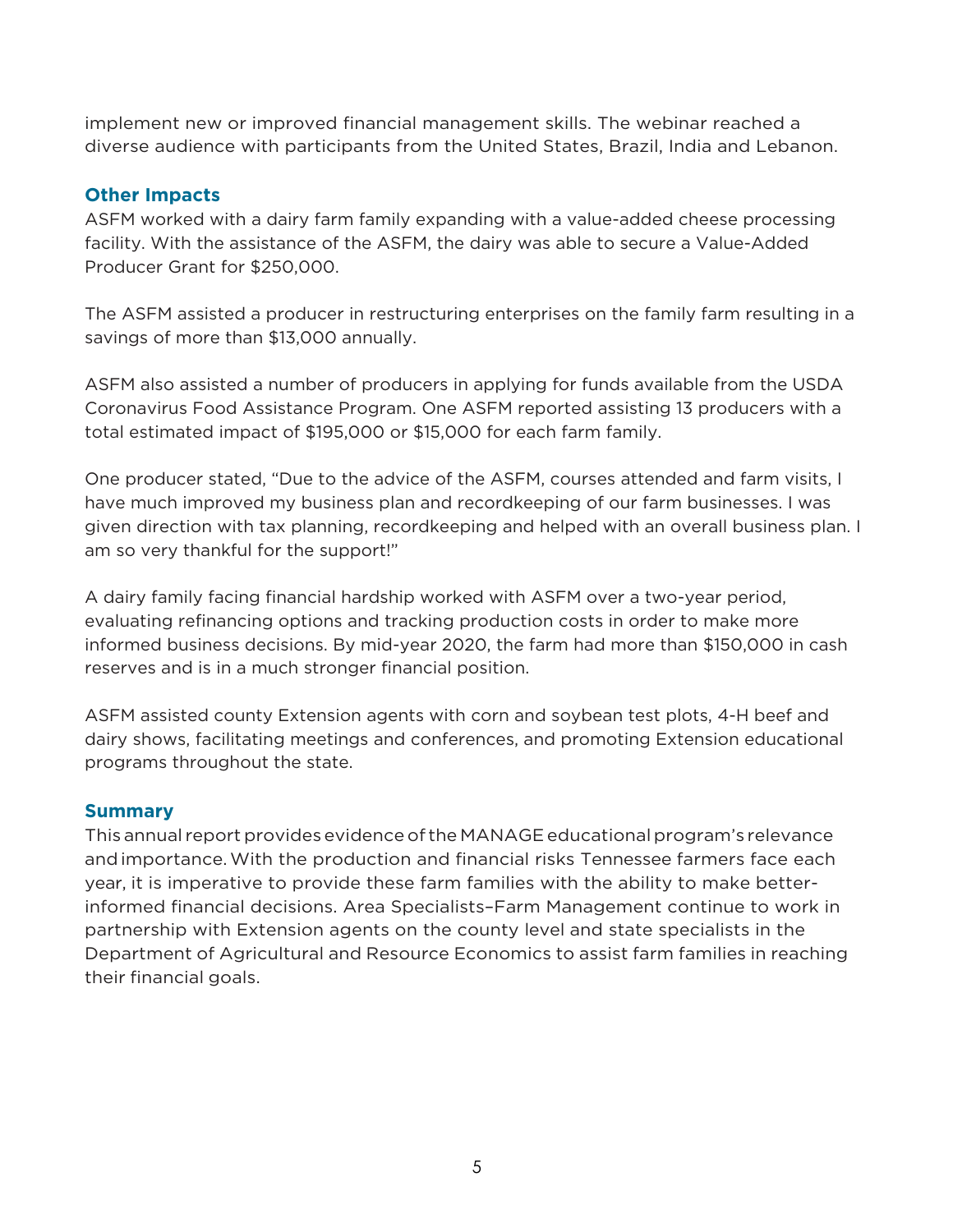implement new or improved financial management skills. The webinar reached a diverse audience with participants from the United States, Brazil, India and Lebanon.

#### **Other Impacts**

ASFM worked with a dairy farm family expanding with a value-added cheese processing facility. With the assistance of the ASFM, the dairy was able to secure a Value-Added Producer Grant for \$250,000.

The ASFM assisted a producer in restructuring enterprises on the family farm resulting in a savings of more than \$13,000 annually.

ASFM also assisted a number of producers in applying for funds available from the USDA Coronavirus Food Assistance Program. One ASFM reported assisting 13 producers with a total estimated impact of \$195,000 or \$15,000 for each farm family.

One producer stated, "Due to the advice of the ASFM, courses attended and farm visits, I have much improved my business plan and recordkeeping of our farm businesses. I was given direction with tax planning, recordkeeping and helped with an overall business plan. I am so very thankful for the support!"

A dairy family facing financial hardship worked with ASFM over a two-year period, evaluating refinancing options and tracking production costs in order to make more informed business decisions. By mid-year 2020, the farm had more than \$150,000 in cash reserves and is in a much stronger financial position.

ASFM assisted county Extension agents with corn and soybean test plots, 4-H beef and dairy shows, facilitating meetings and conferences, and promoting Extension educational programs throughout the state.

#### **Summary**

This annual report provides evidence of the MANAGE educational program's relevance andimportance.With the production and financial risks Tennessee farmers face each year, it is imperative to provide these farm families with the ability to make betterinformed financial decisions. Area Specialists–Farm Management continue to work in partnership with Extension agents on the county level and state specialists in the Department of Agricultural and Resource Economics to assist farm families in reaching their financial goals.